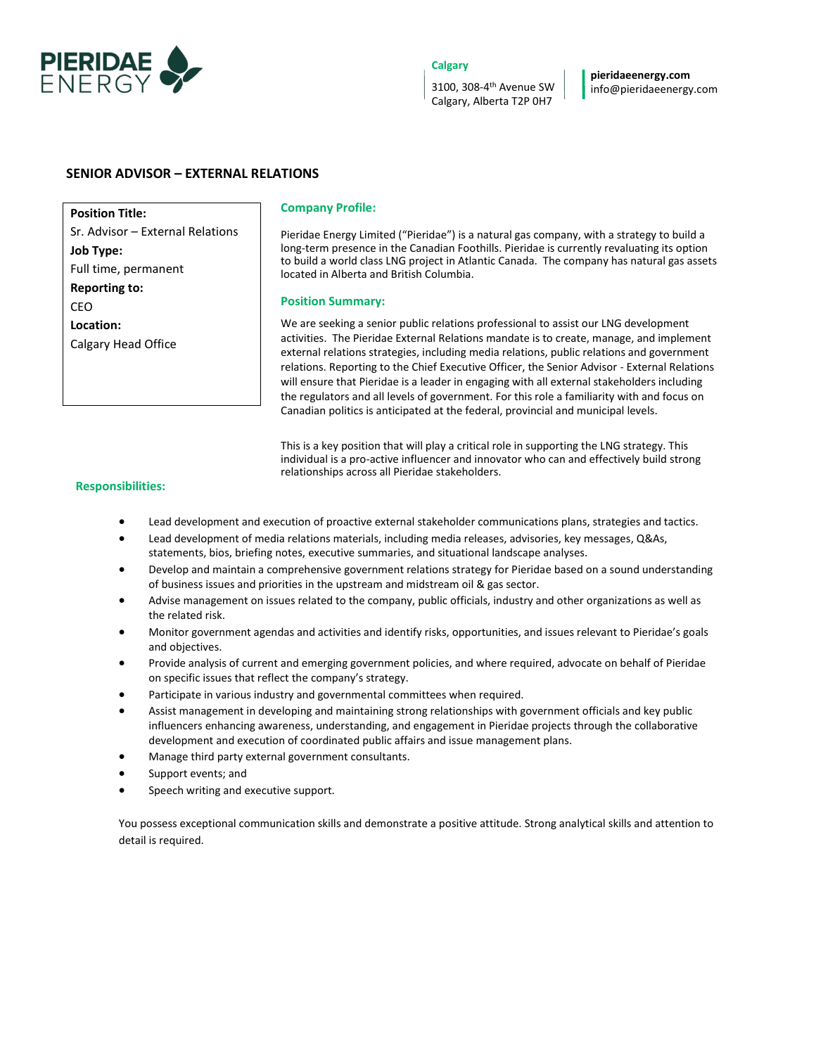

## **Calgary**

3100, 308-4 th Avenue SW Calgary, Alberta T2P 0H7

**pieridaeenergy.com** info@pieridaeenergy.com

# **SENIOR ADVISOR – EXTERNAL RELATIONS**

**Position Title:**  Sr. Advisor – External Relations **Job Type:**  Full time, permanent **Reporting to:**  CEO **Location:**  Calgary Head Office

### **Company Profile:**

Pieridae Energy Limited ("Pieridae") is a natural gas company, with a strategy to build a long-term presence in the Canadian Foothills. Pieridae is currently revaluating its option to build a world class LNG project in Atlantic Canada. The company has natural gas assets located in Alberta and British Columbia.

### **Position Summary:**

We are seeking a senior public relations professional to assist our LNG development activities. The Pieridae External Relations mandate is to create, manage, and implement external relations strategies, including media relations, public relations and government relations. Reporting to the Chief Executive Officer, the Senior Advisor - External Relations will ensure that Pieridae is a leader in engaging with all external stakeholders including the regulators and all levels of government. For this role a familiarity with and focus on Canadian politics is anticipated at the federal, provincial and municipal levels.

This is a key position that will play a critical role in supporting the LNG strategy. This individual is a pro-active influencer and innovator who can and effectively build strong relationships across all Pieridae stakeholders.

### **Responsibilities:**

- Lead development and execution of proactive external stakeholder communications plans, strategies and tactics.
- Lead development of media relations materials, including media releases, advisories, key messages, Q&As, statements, bios, briefing notes, executive summaries, and situational landscape analyses.
- Develop and maintain a comprehensive government relations strategy for Pieridae based on a sound understanding of business issues and priorities in the upstream and midstream oil & gas sector.
- Advise management on issues related to the company, public officials, industry and other organizations as well as the related risk.
- Monitor government agendas and activities and identify risks, opportunities, and issues relevant to Pieridae's goals and objectives.
- Provide analysis of current and emerging government policies, and where required, advocate on behalf of Pieridae on specific issues that reflect the company's strategy.
- Participate in various industry and governmental committees when required.
- Assist management in developing and maintaining strong relationships with government officials and key public influencers enhancing awareness, understanding, and engagement in Pieridae projects through the collaborative development and execution of coordinated public affairs and issue management plans.
- Manage third party external government consultants.
- Support events; and
- Speech writing and executive support.

You possess exceptional communication skills and demonstrate a positive attitude. Strong analytical skills and attention to detail is required.